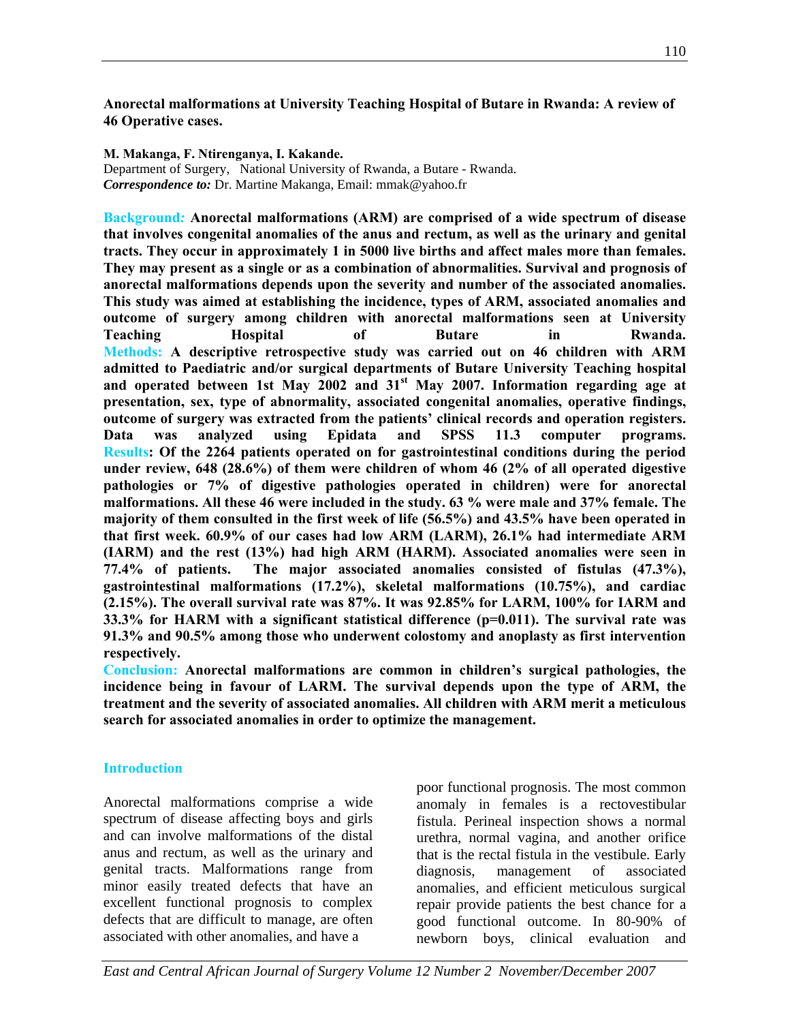**Anorectal malformations at University Teaching Hospital of Butare in Rwanda: A review of 46 Operative cases.** 

**M. Makanga, F. Ntirenganya, I. Kakande.** 

Department of Surgery, National University of Rwanda, a Butare - Rwanda. *Correspondence to:* Dr. Martine Makanga, Email: mmak@yahoo.fr

**Background***:* **Anorectal malformations (ARM) are comprised of a wide spectrum of disease that involves congenital anomalies of the anus and rectum, as well as the urinary and genital tracts. They occur in approximately 1 in 5000 live births and affect males more than females. They may present as a single or as a combination of abnormalities. Survival and prognosis of anorectal malformations depends upon the severity and number of the associated anomalies. This study was aimed at establishing the incidence, types of ARM, associated anomalies and outcome of surgery among children with anorectal malformations seen at University Teaching Hospital of Butare in Rwanda. Methods: A descriptive retrospective study was carried out on 46 children with ARM admitted to Paediatric and/or surgical departments of Butare University Teaching hospital**  and operated between 1st May 2002 and 31<sup>st</sup> May 2007. Information regarding age at **presentation, sex, type of abnormality, associated congenital anomalies, operative findings, outcome of surgery was extracted from the patients' clinical records and operation registers. Data was analyzed using Epidata and SPSS 11.3 computer programs. Results: Of the 2264 patients operated on for gastrointestinal conditions during the period under review, 648 (28.6%) of them were children of whom 46 (2% of all operated digestive pathologies or 7% of digestive pathologies operated in children) were for anorectal malformations. All these 46 were included in the study. 63 % were male and 37% female. The majority of them consulted in the first week of life (56.5%) and 43.5% have been operated in that first week. 60.9% of our cases had low ARM (LARM), 26.1% had intermediate ARM (IARM) and the rest (13%) had high ARM (HARM). Associated anomalies were seen in 77.4% of patients. The major associated anomalies consisted of fistulas (47.3%), gastrointestinal malformations (17.2%), skeletal malformations (10.75%), and cardiac (2.15%). The overall survival rate was 87%. It was 92.85% for LARM, 100% for IARM and 33.3% for HARM with a significant statistical difference (p=0.011). The survival rate was 91.3% and 90.5% among those who underwent colostomy and anoplasty as first intervention respectively.** 

**Conclusion: Anorectal malformations are common in children's surgical pathologies, the incidence being in favour of LARM. The survival depends upon the type of ARM, the treatment and the severity of associated anomalies. All children with ARM merit a meticulous search for associated anomalies in order to optimize the management.** 

### **Introduction**

Anorectal malformations comprise a wide spectrum of disease affecting boys and girls and can involve malformations of the distal anus and rectum, as well as the urinary and genital tracts. Malformations range from minor easily treated defects that have an excellent functional prognosis to complex defects that are difficult to manage, are often associated with other anomalies, and have a

poor functional prognosis. The most common anomaly in females is a rectovestibular fistula. Perineal inspection shows a normal urethra, normal vagina, and another orifice that is the rectal fistula in the vestibule. Early diagnosis, management of associated anomalies, and efficient meticulous surgical repair provide patients the best chance for a good functional outcome. In 80-90% of newborn boys, clinical evaluation and

*East and Central African Journal of Surgery Volume 12 Number 2 November/December 2007*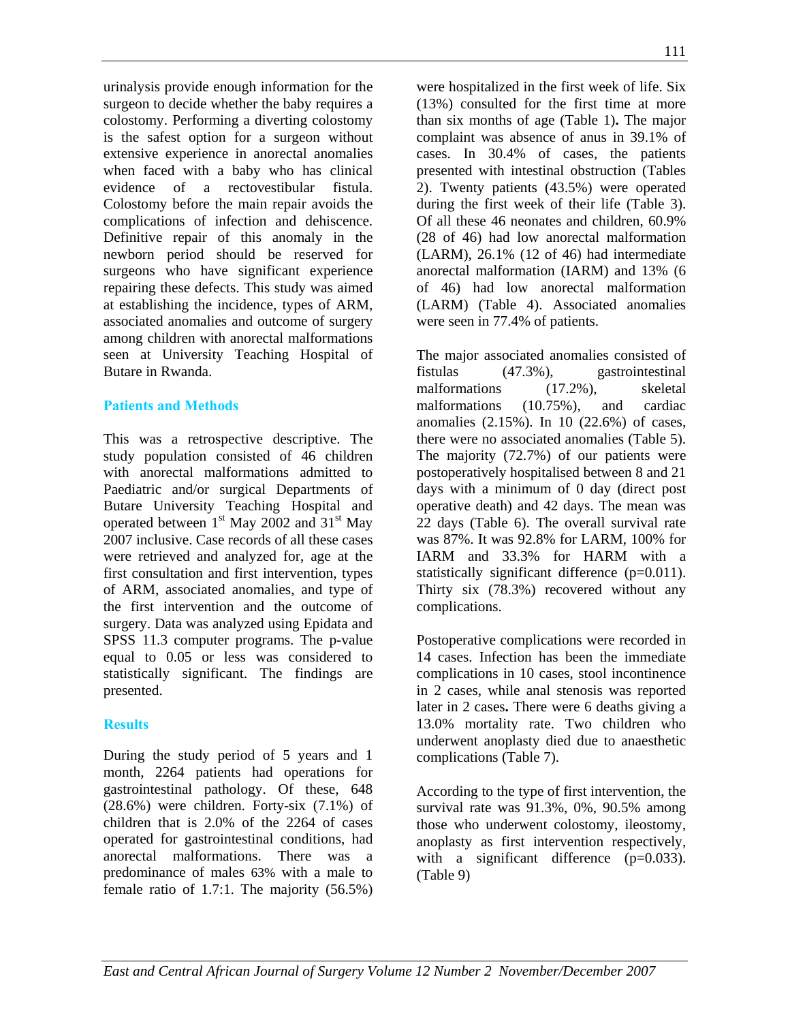of ARM, associated anomalies, and type of the first intervention and the outcome of surgery. Data was analyzed using Epidata and SPSS 11.3 computer programs. The p-value equal to 0.05 or less was considered to statistically significant. The findings are presented. **Results**  During the study period of 5 years and 1 complications.

month, 2264 patients had operations for gastrointestinal pathology. Of these, 648 (28.6%) were children. Forty-six (7.1%) of children that is 2.0% of the 2264 of cases operated for gastrointestinal conditions, had anorectal malformations. There was a predominance of males 63% with a male to female ratio of 1.7:1. The majority (56.5%)

urinalysis provide enough information for the surgeon to decide whether the baby requires a colostomy. Performing a diverting colostomy is the safest option for a surgeon without extensive experience in anorectal anomalies when faced with a baby who has clinical evidence of a rectovestibular fistula. Colostomy before the main repair avoids the complications of infection and dehiscence. Definitive repair of this anomaly in the newborn period should be reserved for surgeons who have significant experience repairing these defects. This study was aimed at establishing the incidence, types of ARM, associated anomalies and outcome of surgery among children with anorectal malformations seen at University Teaching Hospital of

This was a retrospective descriptive. The study population consisted of 46 children with anorectal malformations admitted to Paediatric and/or surgical Departments of Butare University Teaching Hospital and operated between 1<sup>st</sup> May 2002 and 31<sup>st</sup> May 2007 inclusive. Case records of all these cases were retrieved and analyzed for, age at the first consultation and first intervention, types

Butare in Rwanda.

**Patients and Methods** 

were hospitalized in the first week of life. Six (13%) consulted for the first time at more than six months of age (Table 1)**.** The major complaint was absence of anus in 39.1% of cases. In 30.4% of cases, the patients presented with intestinal obstruction (Tables 2). Twenty patients (43.5%) were operated during the first week of their life (Table 3). Of all these 46 neonates and children, 60.9% (28 of 46) had low anorectal malformation (LARM), 26.1% (12 of 46) had intermediate anorectal malformation (IARM) and 13% (6 of 46) had low anorectal malformation (LARM) (Table 4). Associated anomalies were seen in 77.4% of patients.

The major associated anomalies consisted of fistulas (47.3%), gastrointestinal malformations (17.2%), skeletal malformations (10.75%), and cardiac anomalies (2.15%). In 10 (22.6%) of cases, there were no associated anomalies (Table 5). The majority (72.7%) of our patients were postoperatively hospitalised between 8 and 21 days with a minimum of 0 day (direct post operative death) and 42 days. The mean was 22 days (Table 6). The overall survival rate was 87%. It was 92.8% for LARM, 100% for IARM and 33.3% for HARM with a statistically significant difference (p=0.011). Thirty six (78.3%) recovered without any

Postoperative complications were recorded in 14 cases. Infection has been the immediate complications in 10 cases, stool incontinence in 2 cases, while anal stenosis was reported later in 2 cases**.** There were 6 deaths giving a 13.0% mortality rate. Two children who underwent anoplasty died due to anaesthetic complications (Table 7).

According to the type of first intervention, the survival rate was 91.3%, 0%, 90.5% among those who underwent colostomy, ileostomy, anoplasty as first intervention respectively, with a significant difference  $(p=0.033)$ . (Table 9)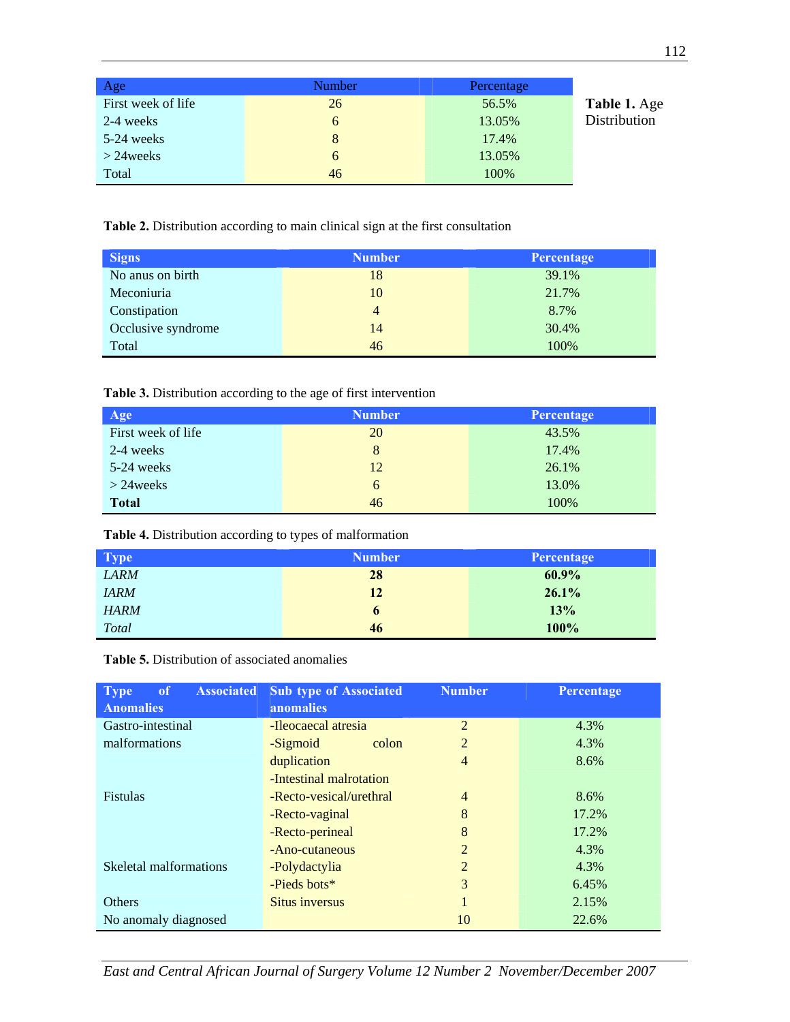| Age                | <b>Number</b> | Percentage |              |
|--------------------|---------------|------------|--------------|
| First week of life | 26            | 56.5%      | Table 1. Age |
| 2-4 weeks          | 6             | 13.05%     | Distribution |
| 5-24 weeks         | 8             | 17.4%      |              |
| $>$ 24 weeks       | 6             | 13.05%     |              |
| Total              | 46            | 100%       |              |

**Table 2.** Distribution according to main clinical sign at the first consultation

| <b>Signs</b>       | <b>Number</b>  | Percentage |
|--------------------|----------------|------------|
| No anys on birth   | 18             | 39.1%      |
| Meconiuria         | 10             | 21.7%      |
| Constipation       | $\overline{4}$ | 8.7%       |
| Occlusive syndrome | 14             | 30.4%      |
| Total              | 46             | 100%       |

**Table 3.** Distribution according to the age of first intervention

| Age                | <b>Number</b> | Percentage |
|--------------------|---------------|------------|
| First week of life | 20            | 43.5%      |
| 2-4 weeks          | 8             | 17.4%      |
| 5-24 weeks         | 12            | 26.1%      |
| $>$ 24 weeks       | 6             | 13.0%      |
| <b>Total</b>       | 46            | 100%       |

**Table 4.** Distribution according to types of malformation

| <b>Type</b> | <b>Number</b> | Percentage |
|-------------|---------------|------------|
| <b>LARM</b> | 28            | 60.9%      |
| <b>IARM</b> | 12            | 26.1%      |
| <b>HARM</b> | $\mathbf b$   | 13%        |
| Total       | 46            | 100%       |

**Table 5.** Distribution of associated anomalies

| <b>Associated</b><br><b>Type</b><br>of<br><b>Anomalies</b> | <b>Sub type of Associated</b><br>anomalies | <b>Number</b>  | <b>Percentage</b> |
|------------------------------------------------------------|--------------------------------------------|----------------|-------------------|
| Gastro-intestinal                                          | -Ileocaecal atresia                        | $\overline{2}$ | 4.3%              |
| malformations                                              | -Sigmoid<br>colon                          | $\overline{2}$ | 4.3%              |
|                                                            | duplication                                | $\overline{4}$ | 8.6%              |
|                                                            | -Intestinal malrotation                    |                |                   |
| <b>Fistulas</b>                                            | -Recto-vesical/urethral                    | $\overline{4}$ | 8.6%              |
|                                                            | -Recto-vaginal                             | 8              | 17.2%             |
|                                                            | -Recto-perineal                            | 8              | 17.2%             |
|                                                            | -Ano-cutaneous                             | $\overline{2}$ | 4.3%              |
| Skeletal malformations                                     | -Polydactylia                              | $\overline{2}$ | 4.3%              |
|                                                            | -Pieds bots*                               | 3              | 6.45%             |
| <b>Others</b>                                              | <b>Situs inversus</b>                      |                | 2.15%             |
| No anomaly diagnosed                                       |                                            | 10             | 22.6%             |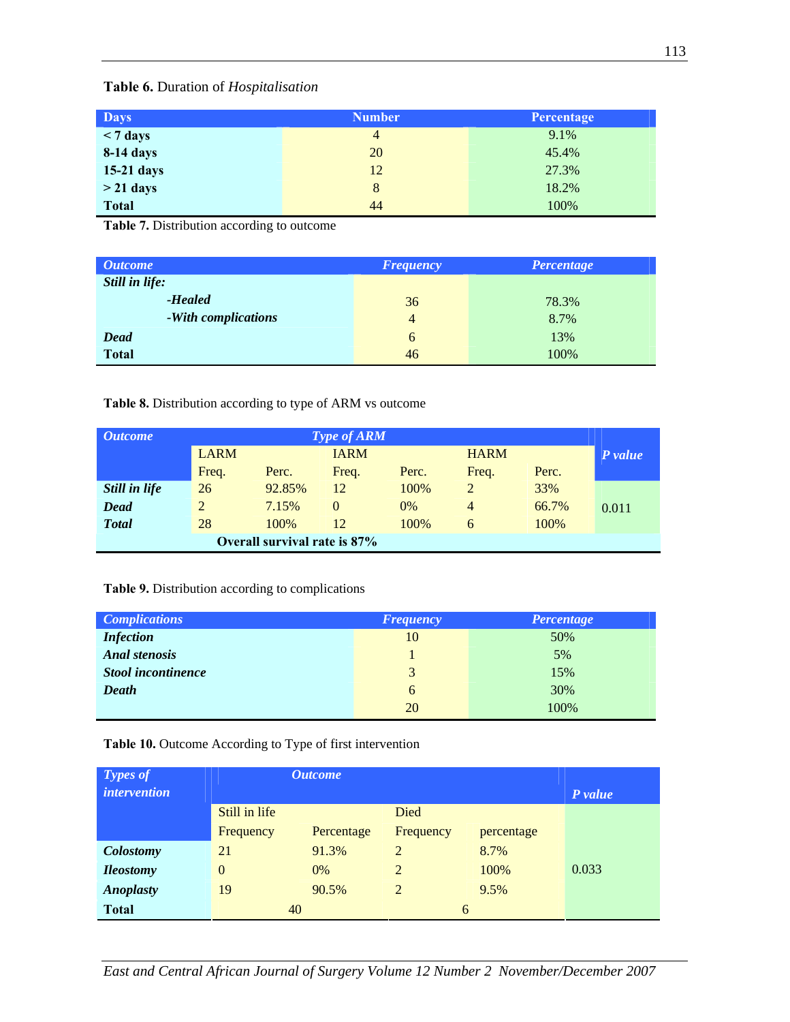# **Table 6.** Duration of *Hospitalisation*

| <b>Days</b>        | <b>Number</b>  | Percentage |
|--------------------|----------------|------------|
| $< 7 \text{ days}$ | $\overline{4}$ | 9.1%       |
| 8-14 days          | 20             | 45.4%      |
| 15-21 days         | 12             | 27.3%      |
| $>$ 21 days        | 8              | 18.2%      |
| <b>Total</b>       | 44             | 100%       |

**Table 7.** Distribution according to outcome

| <i><b>Outcome</b></i> | <b>Frequency</b> | Percentage |
|-----------------------|------------------|------------|
| Still in life:        |                  |            |
| -Healed               | 36               | 78.3%      |
| -With complications   | $\overline{4}$   | 8.7%       |
| <b>Dead</b>           | 6                | 13%        |
| <b>Total</b>          | 46               | 100%       |

**Table 8.** Distribution according to type of ARM vs outcome

| <i>Outcome</i>               | Type of ARM    |        |             |       |                |       |         |
|------------------------------|----------------|--------|-------------|-------|----------------|-------|---------|
|                              | <b>LARM</b>    |        | <b>IARM</b> |       | <b>HARM</b>    |       | P value |
|                              | Freq.          | Perc.  | Freq.       | Perc. | Freq.          | Perc. |         |
| Still in life                | 26             | 92.85% | 12          | 100%  | 2              | 33%   |         |
| <b>Dead</b>                  | $\overline{2}$ | 7.15%  | $\Omega$    | 0%    | $\overline{4}$ | 66.7% | 0.011   |
| <b>Total</b>                 | 28             | 100\%  | 12          | 100%  | 6              | 100%  |         |
| Overall survival rate is 87% |                |        |             |       |                |       |         |

## **Table 9.** Distribution according to complications

| <b>Complications</b>      | <b>Frequency</b> | Percentage |
|---------------------------|------------------|------------|
| <b>Infection</b>          | 10               | 50%        |
| <b>Anal stenosis</b>      |                  | 5%         |
| <b>Stool incontinence</b> | 3                | 15%        |
| Death                     | 6                | 30%        |
|                           | 20               | 100%       |

## **Table 10.** Outcome According to Type of first intervention

| <b>Types of</b><br><i>intervention</i> | <i><b>Outcome</b></i> |            |                |            | P value |
|----------------------------------------|-----------------------|------------|----------------|------------|---------|
|                                        | Still in life         |            | Died           |            |         |
|                                        | Frequency             | Percentage | Frequency      | percentage |         |
| Colostomy                              | 21                    | 91.3%      | $\overline{2}$ | 8.7%       |         |
| <b>Ileostomy</b>                       | $\theta$              | $0\%$      | 2              | 100%       | 0.033   |
| <b>Anoplasty</b>                       | 19                    | 90.5%      | 2              | 9.5%       |         |
| <b>Total</b>                           | 40                    |            | 6              |            |         |

*East and Central African Journal of Surgery Volume 12 Number 2 November/December 2007*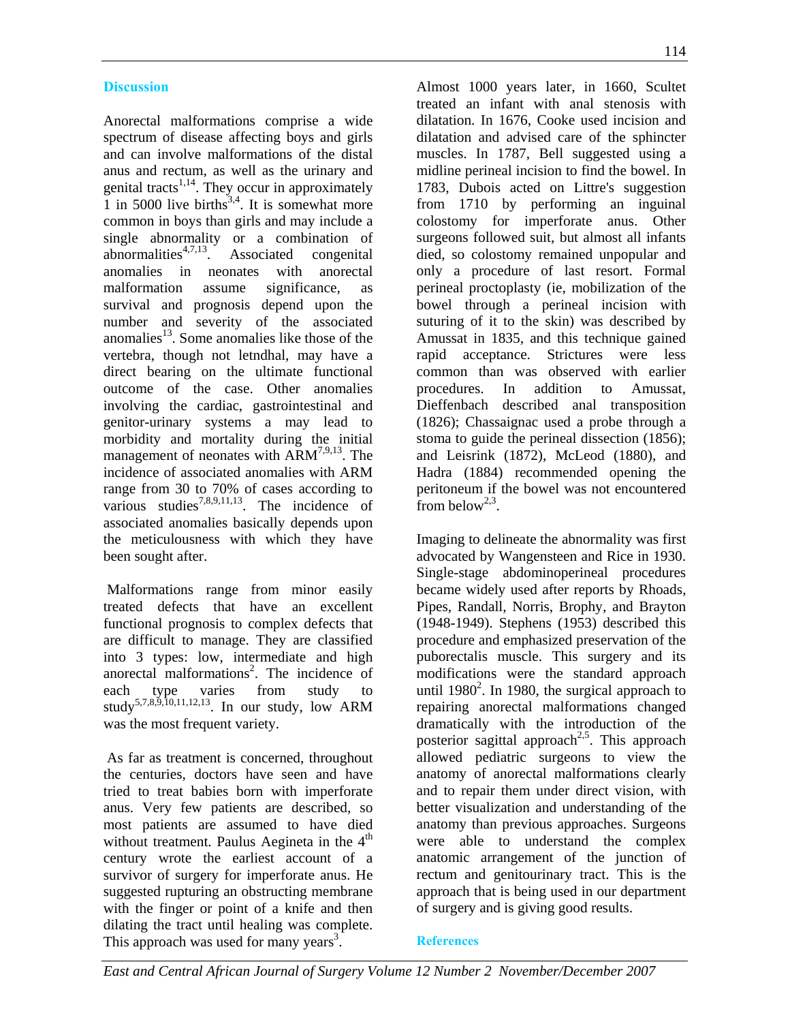## **Discussion**

Anorectal malformations comprise a wide spectrum of disease affecting boys and girls and can involve malformations of the distal anus and rectum, as well as the urinary and genital tracts<sup> $1,14$ </sup>. They occur in approximately  $\overline{1}$  in 5000 live births<sup>3,4</sup>. It is somewhat more common in boys than girls and may include a single abnormality or a combination of abnormalities $4,7,13$ . Associated congenital anomalies in neonates with anorectal malformation assume significance, as survival and prognosis depend upon the number and severity of the associated anomalies<sup>13</sup>. Some anomalies like those of the vertebra, though not letndhal, may have a direct bearing on the ultimate functional outcome of the case. Other anomalies involving the cardiac, gastrointestinal and genitor-urinary systems a may lead to morbidity and mortality during the initial management of neonates with  $ARM^{7,9,13}$ . The incidence of associated anomalies with ARM range from 30 to 70% of cases according to various studies<sup>7,8,9,11,13</sup>. The incidence of associated anomalies basically depends upon the meticulousness with which they have been sought after.

 Malformations range from minor easily treated defects that have an excellent functional prognosis to complex defects that are difficult to manage. They are classified into 3 types: low, intermediate and high anorectal malformations<sup>2</sup>. The incidence of each type varies from study to study<sup>5,7,8,9,10,11,12,13</sup>. In our study, low ARM was the most frequent variety.

 As far as treatment is concerned, throughout the centuries, doctors have seen and have tried to treat babies born with imperforate anus. Very few patients are described, so most patients are assumed to have died without treatment. Paulus Aegineta in the  $4<sup>th</sup>$ century wrote the earliest account of a survivor of surgery for imperforate anus. He suggested rupturing an obstructing membrane with the finger or point of a knife and then dilating the tract until healing was complete. This approach was used for many years<sup>3</sup>.

Almost 1000 years later, in 1660, Scultet treated an infant with anal stenosis with dilatation. In 1676, Cooke used incision and dilatation and advised care of the sphincter muscles. In 1787, Bell suggested using a midline perineal incision to find the bowel. In 1783, Dubois acted on Littre's suggestion from 1710 by performing an inguinal colostomy for imperforate anus. Other surgeons followed suit, but almost all infants died, so colostomy remained unpopular and only a procedure of last resort. Formal perineal proctoplasty (ie, mobilization of the bowel through a perineal incision with suturing of it to the skin) was described by Amussat in 1835, and this technique gained rapid acceptance. Strictures were less common than was observed with earlier procedures. In addition to Amussat, Dieffenbach described anal transposition (1826); Chassaignac used a probe through a stoma to guide the perineal dissection (1856); and Leisrink (1872), McLeod (1880), and Hadra (1884) recommended opening the peritoneum if the bowel was not encountered from below<sup>2,3</sup>.

Imaging to delineate the abnormality was first advocated by Wangensteen and Rice in 1930. Single-stage abdominoperineal procedures became widely used after reports by Rhoads, Pipes, Randall, Norris, Brophy, and Brayton (1948-1949). Stephens (1953) described this procedure and emphasized preservation of the puborectalis muscle. This surgery and its modifications were the standard approach until  $1980^2$ . In 1980, the surgical approach to repairing anorectal malformations changed dramatically with the introduction of the posterior sagittal approach<sup>2,5</sup>. This approach allowed pediatric surgeons to view the anatomy of anorectal malformations clearly and to repair them under direct vision, with better visualization and understanding of the anatomy than previous approaches. Surgeons were able to understand the complex anatomic arrangement of the junction of rectum and genitourinary tract. This is the approach that is being used in our department of surgery and is giving good results.

### **References**

*East and Central African Journal of Surgery Volume 12 Number 2 November/December 2007*